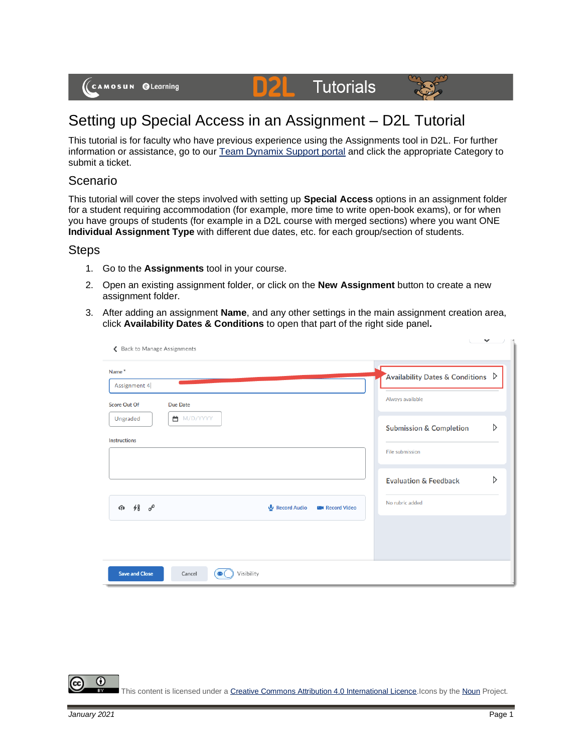

## **Tutorials** D



This tutorial is for faculty who have previous experience using the Assignments tool in D2L. For further information or assistance, go to our [Team Dynamix Support portal](https://camosun.teamdynamix.com/TDClient/67/Portal/Requests/ServiceCatalog?CategoryID=523) and click the appropriate Category to submit a ticket.

## Scenario

This tutorial will cover the steps involved with setting up **Special Access** options in an assignment folder for a student requiring accommodation (for example, more time to write open-book exams), or for when you have groups of students (for example in a D2L course with merged sections) where you want ONE **Individual Assignment Type** with different due dates, etc. for each group/section of students.

## **Steps**

- 1. Go to the **Assignments** tool in your course.
- 2. Open an existing assignment folder, or click on the **New Assignment** button to create a new assignment folder.
- 3. After adding an assignment **Name**, and any other settings in the main assignment creation area, click **Availability Dates & Conditions** to open that part of the right side panel**.**

| Name*<br>Assignment 4                                                                   |              | Availability Dates & Conditions $\triangleright$            |
|-----------------------------------------------------------------------------------------|--------------|-------------------------------------------------------------|
| <b>Score Out Of</b><br><b>Due Date</b><br>■ M/D/YYYY<br>Ungraded<br><b>Instructions</b> |              | Always available<br>D<br><b>Submission &amp; Completion</b> |
|                                                                                         |              | File submission<br>D<br><b>Evaluation &amp; Feedback</b>    |
| $48\degree$<br>⊕                                                                        | Record Audio | No rubric added<br><b>EXP</b> Record Video                  |
|                                                                                         |              |                                                             |

This content is licensed under [a Creative Commons Attribution 4.0 International Licence.I](https://creativecommons.org/licenses/by/4.0/)cons by th[e Noun](https://creativecommons.org/website-icons/) Project.

 $\boldsymbol{\omega}$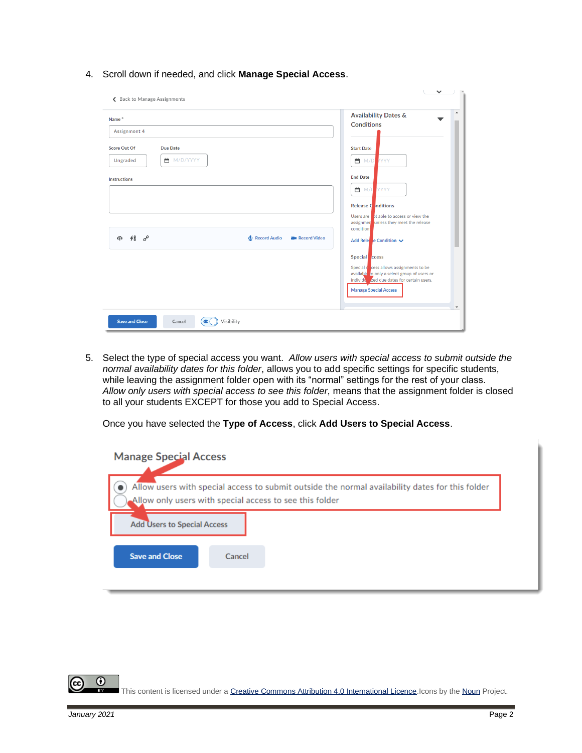4. Scroll down if needed, and click **Manage Special Access**.

| Name <sup>*</sup>                      |                                         | $\mathcal{A}$<br><b>Availability Dates &amp;</b><br><b>Conditions</b>                       |
|----------------------------------------|-----------------------------------------|---------------------------------------------------------------------------------------------|
| Assignment 4                           |                                         |                                                                                             |
| <b>Score Out Of</b><br><b>Due Date</b> |                                         | <b>Start Date</b>                                                                           |
| ■ M/D/YYYY<br>Ungraded                 |                                         | <b>曲</b> M/D YYYY                                                                           |
| <b>Instructions</b>                    |                                         | <b>End Date</b>                                                                             |
|                                        |                                         | YYYY<br><b>首</b> M/D                                                                        |
|                                        |                                         | Release Conditions                                                                          |
|                                        |                                         | Users are that able to access or view the<br>assignmer unless they meet the release         |
| $48\degree$<br>क़                      | Record Audio<br><b>B</b> u Record Video | conditions<br>Add Rele. e Condition ↓                                                       |
|                                        |                                         |                                                                                             |
|                                        |                                         | Special ccess<br>Special $\sqrt{\frac{1}{2}}$ cess allows assignments to be                 |
|                                        |                                         | available to only a select group of users or<br>individual zed due dates for certain users. |
|                                        |                                         | <b>Manage Special Access</b>                                                                |
|                                        |                                         | $\blacktriangledown$                                                                        |

5. Select the type of special access you want. *Allow users with special access to submit outside the normal availability dates for this folder*, allows you to add specific settings for specific students, while leaving the assignment folder open with its "normal" settings for the rest of your class. *Allow only users with special access to see this folder*, means that the assignment folder is closed to all your students EXCEPT for those you add to Special Access.

Once you have selected the **Type of Access**, click **Add Users to Special Access**.

| <b>Manage Special Access</b>       |                                                                                                                                                            |  |
|------------------------------------|------------------------------------------------------------------------------------------------------------------------------------------------------------|--|
|                                    | Allow users with special access to submit outside the normal availability dates for this folder<br>Allow only users with special access to see this folder |  |
| <b>Add Users to Special Access</b> |                                                                                                                                                            |  |
| <b>Save and Close</b>              | Cancel                                                                                                                                                     |  |
|                                    |                                                                                                                                                            |  |

This content is licensed under [a Creative Commons Attribution 4.0 International Licence.I](https://creativecommons.org/licenses/by/4.0/)cons by th[e Noun](https://creativecommons.org/website-icons/) Project.

 $\odot$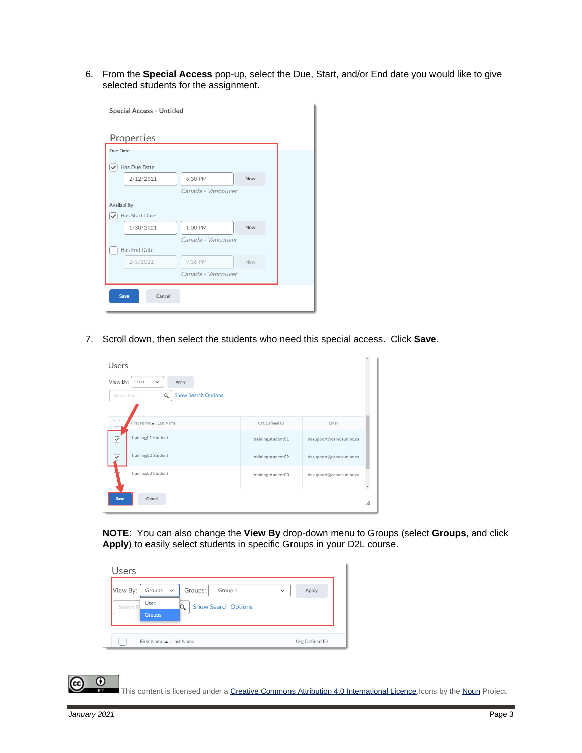6. From the **Special Access** pop-up, select the Due, Start, and/or End date you would like to give selected students for the assignment.

| Special Access - Untitled |                    |     |  |
|---------------------------|--------------------|-----|--|
| Properties                |                    |     |  |
| Due Date                  |                    |     |  |
| Has Due Date<br>✓         |                    |     |  |
| 2/12/2021                 | 8:30 PM            | Now |  |
|                           | Canada - Vancouver |     |  |
| Availability              |                    |     |  |
| Has Start Date            |                    |     |  |
| 1/30/2021                 | 1:00 PM            | Now |  |
|                           | Canada - Vancouver |     |  |
| Has End Date              |                    |     |  |
| 2/5/2021                  | 9:36 PM            | Now |  |
|                           | Canada - Vancouver |     |  |
| <b>Save</b><br>Cancel     |                    |     |  |

7. Scroll down, then select the students who need this special access. Click **Save**.

| Users                                                                                             |                    |                         |                   |
|---------------------------------------------------------------------------------------------------|--------------------|-------------------------|-------------------|
| View By:<br>User<br>Apply<br>$\checkmark$<br><b>Show Search Options</b><br>$\alpha$<br>Search For |                    |                         |                   |
| First Name . Last Name                                                                            | Org Defined ID     | Email                   |                   |
| Training01 Student<br>▽                                                                           | training.student01 | desupport@camosun.bc.ca |                   |
| Training02 Student<br>✓                                                                           | training.student02 | desupport@camosun.bc.ca |                   |
| Training03 Student                                                                                | training.student03 | desupport@camosun.bc.ca |                   |
| Save<br>Cancel                                                                                    |                    |                         | $\mathbf v$<br>h. |

**NOTE**: You can also change the **View By** drop-down menu to Groups (select **Groups**, and click **Apply**) to easily select students in specific Groups in your D2L course.

| Users                                                                                                                       |                       |
|-----------------------------------------------------------------------------------------------------------------------------|-----------------------|
| View By:<br>Groups<br>Groups:<br>Group 1<br>$\checkmark$<br>User<br>Search F<br><b>Show Search Options</b><br><b>Groups</b> | Apply<br>$\checkmark$ |
| First Name . Last Name                                                                                                      | Org Defined ID        |

This content is licensed under [a Creative Commons Attribution 4.0 International Licence.I](https://creativecommons.org/licenses/by/4.0/)cons by th[e Noun](https://creativecommons.org/website-icons/) Project.

 $\odot$